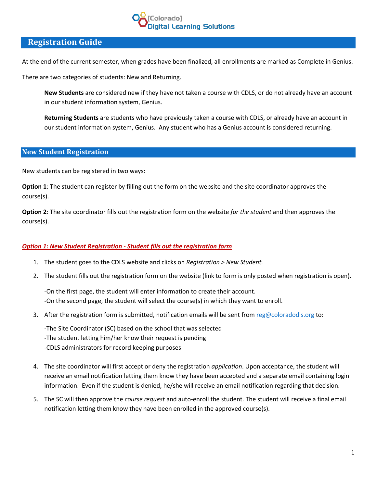# lorado] igital Learning Solutions

# **Registration Guide**

At the end of the current semester, when grades have been finalized, all enrollments are marked as Complete in Genius.

There are two categories of students: New and Returning.

**New Students** are considered new if they have not taken a course with CDLS, or do not already have an account in our student information system, Genius.

**Returning Students** are students who have previously taken a course with CDLS, or already have an account in our student information system, Genius. Any student who has a Genius account is considered returning.

# **New Student Registration**

New students can be registered in two ways:

**Option 1**: The student can register by filling out the form on the website and the site coordinator approves the course(s).

**Option 2**: The site coordinator fills out the registration form on the website *for the student* and then approves the course(s).

### *Option 1: New Student Registration - Student fills out the registration form*

- 1. The student goes to the CDLS website and clicks on *Registration > New Student.*
- 2. The student fills out the registration form on the website (link to form is only posted when registration is open).

-On the first page, the student will enter information to create their account. -On the second page, the student will select the course(s) in which they want to enroll.

3. After the registration form is submitted, notification emails will be sent fro[m reg@coloradodls.org](mailto:reg@coloradodls.org) to:

-The Site Coordinator (SC) based on the school that was selected -The student letting him/her know their request is pending -CDLS administrators for record keeping purposes

- 4. The site coordinator will first accept or deny the registration *application*. Upon acceptance, the student will receive an email notification letting them know they have been accepted and a separate email containing login information. Even if the student is denied, he/she will receive an email notification regarding that decision.
- 5. The SC will then approve the *course request* and auto-enroll the student. The student will receive a final email notification letting them know they have been enrolled in the approved course(s).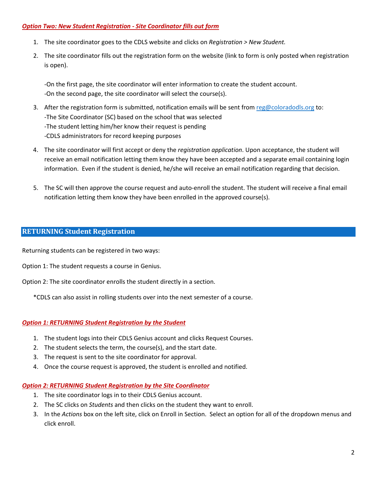#### *Option Two: New Student Registration - Site Coordinator fills out form*

- 1. The site coordinator goes to the CDLS website and clicks on *Registration > New Student.*
- 2. The site coordinator fills out the registration form on the website (link to form is only posted when registration is open).

-On the first page, the site coordinator will enter information to create the student account. -On the second page, the site coordinator will select the course(s).

- 3. After the registration form is submitted, notification emails will be sent from [reg@coloradodls.org](mailto:reg@coloradodls.org) to: -The Site Coordinator (SC) based on the school that was selected -The student letting him/her know their request is pending -CDLS administrators for record keeping purposes
- 4. The site coordinator will first accept or deny the *registration application*. Upon acceptance, the student will receive an email notification letting them know they have been accepted and a separate email containing login information. Even if the student is denied, he/she will receive an email notification regarding that decision.
- 5. The SC will then approve the course request and auto-enroll the student. The student will receive a final email notification letting them know they have been enrolled in the approved course(s).

## **RETURNING Student Registration**

Returning students can be registered in two ways:

Option 1: The student requests a course in Genius.

Option 2: The site coordinator enrolls the student directly in a section.

\*CDLS can also assist in rolling students over into the next semester of a course.

### *Option 1: RETURNING Student Registration by the Student*

- 1. The student logs into their CDLS Genius account and clicks Request Courses.
- 2. The student selects the term, the course(s), and the start date.
- 3. The request is sent to the site coordinator for approval.
- 4. Once the course request is approved, the student is enrolled and notified.

### *Option 2: RETURNING Student Registration by the Site Coordinator*

- 1. The site coordinator logs in to their CDLS Genius account.
- 2. The SC clicks on *Students* and then clicks on the student they want to enroll.
- 3. In the *Actions* box on the left site, click on Enroll in Section. Select an option for all of the dropdown menus and click enroll.